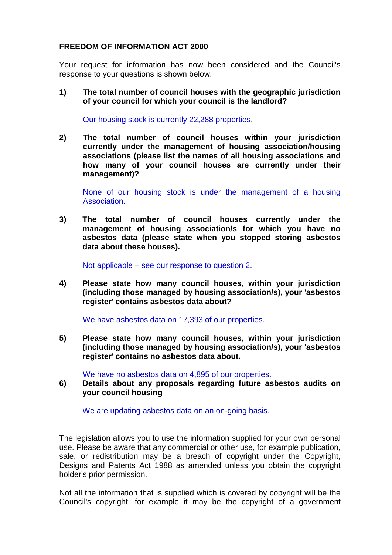## **FREEDOM OF INFORMATION ACT 2000**

Your request for information has now been considered and the Council's response to your questions is shown below.

**1) The total number of council houses with the geographic jurisdiction of your council for which your council is the landlord?**

Our housing stock is currently 22,288 properties.

**2) The total number of council houses within your jurisdiction currently under the management of housing association/housing associations (please list the names of all housing associations and how many of your council houses are currently under their management)?**

None of our housing stock is under the management of a housing Association.

**3) The total number of council houses currently under the management of housing association/s for which you have no asbestos data (please state when you stopped storing asbestos data about these houses).** 

Not applicable – see our response to question 2.

**4) Please state how many council houses, within your jurisdiction (including those managed by housing association/s), your 'asbestos register' contains asbestos data about?**

We have asbestos data on 17,393 of our properties.

**5) Please state how many council houses, within your jurisdiction (including those managed by housing association/s), your 'asbestos register' contains no asbestos data about.**

We have no asbestos data on 4,895 of our properties.

**6) Details about any proposals regarding future asbestos audits on your council housing** 

We are updating asbestos data on an on-going basis.

The legislation allows you to use the information supplied for your own personal use. Please be aware that any commercial or other use, for example publication, sale, or redistribution may be a breach of copyright under the Copyright, Designs and Patents Act 1988 as amended unless you obtain the copyright holder's prior permission.

Not all the information that is supplied which is covered by copyright will be the Council's copyright, for example it may be the copyright of a government